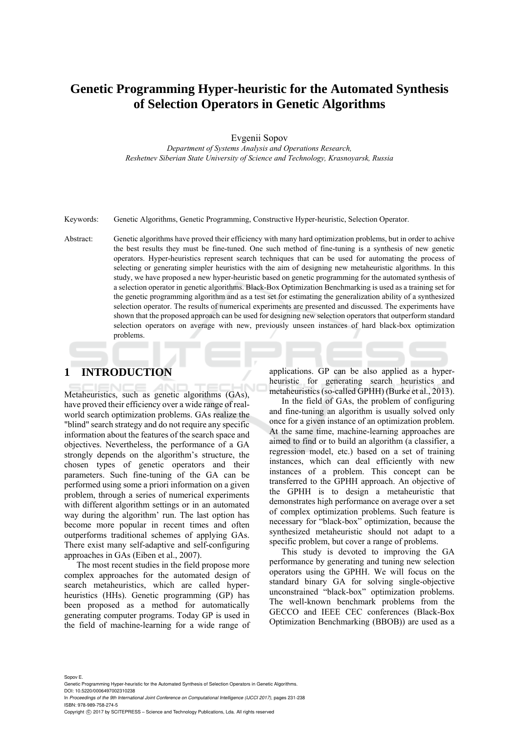# **Genetic Programming Hyper-heuristic for the Automated Synthesis of Selection Operators in Genetic Algorithms**

Evgenii Sopov

*Department of Systems Analysis and Operations Research, Reshetnev Siberian State University of Science and Technology, Krasnoyarsk, Russia* 

Keywords: Genetic Algorithms, Genetic Programming, Constructive Hyper-heuristic, Selection Operator.

Abstract: Genetic algorithms have proved their efficiency with many hard optimization problems, but in order to achive the best results they must be fine-tuned. One such method of fine-tuning is a synthesis of new genetic operators. Hyper-heuristics represent search techniques that can be used for automating the process of selecting or generating simpler heuristics with the aim of designing new metaheuristic algorithms. In this study, we have proposed a new hyper-heuristic based on genetic programming for the automated synthesis of a selection operator in genetic algorithms. Black-Box Optimization Benchmarking is used as a training set for the genetic programming algorithm and as a test set for estimating the generalization ability of a synthesized selection operator. The results of numerical experiments are presented and discussed. The experiments have shown that the proposed approach can be used for designing new selection operators that outperform standard selection operators on average with new, previously unseen instances of hard black-box optimization problems.

## **1 INTRODUCTION**

Metaheuristics, such as genetic algorithms (GAs), have proved their efficiency over a wide range of realworld search optimization problems. GAs realize the "blind" search strategy and do not require any specific information about the features of the search space and objectives. Nevertheless, the performance of a GA strongly depends on the algorithm's structure, the chosen types of genetic operators and their parameters. Such fine-tuning of the GA can be performed using some a priori information on a given problem, through a series of numerical experiments with different algorithm settings or in an automated way during the algorithm' run. The last option has become more popular in recent times and often outperforms traditional schemes of applying GAs. There exist many self-adaptive and self-configuring approaches in GAs (Eiben et al., 2007).

The most recent studies in the field propose more complex approaches for the automated design of search metaheuristics, which are called hyperheuristics (HHs). Genetic programming (GP) has been proposed as a method for automatically generating computer programs. Today GP is used in the field of machine-learning for a wide range of

applications. GP can be also applied as a hyperheuristic for generating search heuristics and metaheuristics (so-called GPHH) (Burke et al., 2013).

In the field of GAs, the problem of configuring and fine-tuning an algorithm is usually solved only once for a given instance of an optimization problem. At the same time, machine-learning approaches are aimed to find or to build an algorithm (a classifier, a regression model, etc.) based on a set of training instances, which can deal efficiently with new instances of a problem. This concept can be transferred to the GPHH approach. An objective of the GPHH is to design a metaheuristic that demonstrates high performance on average over a set of complex optimization problems. Such feature is necessary for "black-box" optimization, because the synthesized metaheuristic should not adapt to a specific problem, but cover a range of problems.

This study is devoted to improving the GA performance by generating and tuning new selection operators using the GPHH. We will focus on the standard binary GA for solving single-objective unconstrained "black-box" optimization problems. The well-known benchmark problems from the GECCO and IEEE CEC conferences (Black-Box Optimization Benchmarking (BBOB)) are used as a

Sopov E. Genetic Programming Hyper-heuristic for the Automated Synthesis of Selection Operators in Genetic Algorithms. DOI: 10.5220/0006497002310238

In *Proceedings of the 9th International Joint Conference on Computational Intelligence (IJCCI 2017)*, pages 231-238 ISBN: 978-989-758-274-5

Copyright (C) 2017 by SCITEPRESS - Science and Technology Publications, Lda. All rights reserved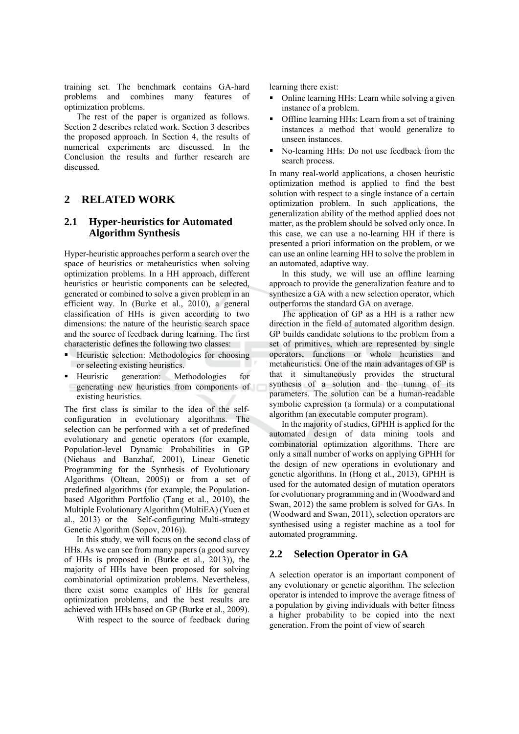training set. The benchmark contains GA-hard problems and combines many features of optimization problems.

The rest of the paper is organized as follows. Section 2 describes related work. Section 3 describes the proposed approach. In Section 4, the results of numerical experiments are discussed. In the Conclusion the results and further research are discussed.

#### $\overline{2}$ **RELATED WORK**

### $2.1$ **Hyper-heuristics for Automated Algorithm Synthesis**

Hyper-heuristic approaches perform a search over the space of heuristics or metaheuristics when solving optimization problems. In a HH approach, different heuristics or heuristic components can be selected. generated or combined to solve a given problem in an efficient way. In (Burke et al., 2010), a general classification of HHs is given according to two dimensions: the nature of the heuristic search space and the source of feedback during learning. The first characteristic defines the following two classes:

- Heuristic selection: Methodologies for choosing or selecting existing heuristics.
- generation: Methodologies • Heuristic for generating new heuristics from components of existing heuristics.

The first class is similar to the idea of the selfconfiguration in evolutionary algorithms. The selection can be performed with a set of predefined evolutionary and genetic operators (for example, Population-level Dynamic Probabilities in GP (Niehaus and Banzhaf, 2001), Linear Genetic Programming for the Synthesis of Evolutionary Algorithms (Oltean, 2005)) or from a set of predefined algorithms (for example, the Populationbased Algorithm Portfolio (Tang et al., 2010), the Multiple Evolutionary Algorithm (MultiEA) (Yuen et al., 2013) or the Self-configuring Multi-strategy Genetic Algorithm (Sopov, 2016)).

In this study, we will focus on the second class of HHs. As we can see from many papers (a good survey of HHs is proposed in (Burke et al., 2013)), the majority of HHs have been proposed for solving combinatorial optimization problems. Nevertheless, there exist some examples of HHs for general optimization problems, and the best results are achieved with HHs based on GP (Burke et al., 2009).

With respect to the source of feedback during

learning there exist:

- Online learning HHs: Learn while solving a given instance of a problem.
- Offline learning HHs: Learn from a set of training instances a method that would generalize to unseen instances.
- No-learning HHs: Do not use feedback from the search process.

In many real-world applications, a chosen heuristic optimization method is applied to find the best solution with respect to a single instance of a certain optimization problem. In such applications, the generalization ability of the method applied does not matter, as the problem should be solved only once. In this case, we can use a no-learning HH if there is presented a priori information on the problem, or we can use an online learning HH to solve the problem in an automated, adaptive way.

In this study, we will use an offline learning approach to provide the generalization feature and to synthesize a GA with a new selection operator, which outperforms the standard GA on average.

The application of GP as a HH is a rather new direction in the field of automated algorithm design. GP builds candidate solutions to the problem from a set of primitives, which are represented by single operators, functions or whole heuristics and metaheuristics. One of the main advantages of GP is that it simultaneously provides the structural synthesis of a solution and the tuning of its parameters. The solution can be a human-readable symbolic expression (a formula) or a computational algorithm (an executable computer program).

In the majority of studies, GPHH is applied for the automated design of data mining tools and combinatorial optimization algorithms. There are only a small number of works on applying GPHH for the design of new operations in evolutionary and genetic algorithms. In (Hong et al., 2013), GPHH is used for the automated design of mutation operators for evolutionary programming and in (Woodward and Swan, 2012) the same problem is solved for GAs. In (Woodward and Swan, 2011), selection operators are synthesised using a register machine as a tool for automated programming.

#### $2.2$ **Selection Operator in GA**

A selection operator is an important component of any evolutionary or genetic algorithm. The selection operator is intended to improve the average fitness of a population by giving individuals with better fitness a higher probability to be copied into the next generation. From the point of view of search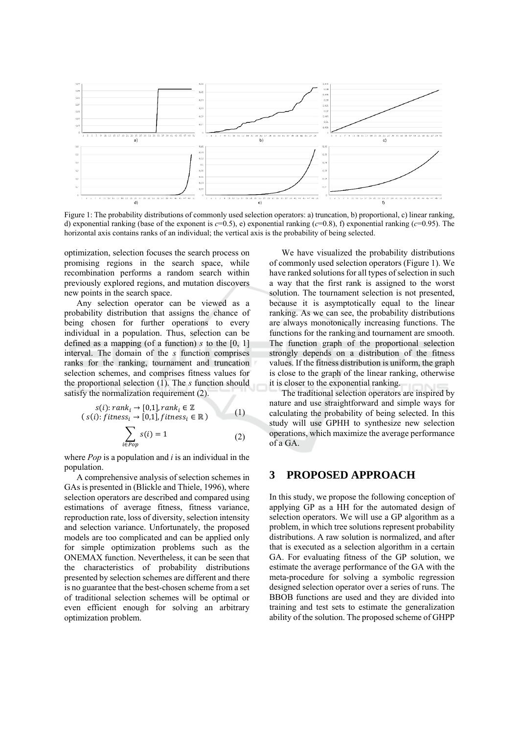

Figure 1: The probability distributions of commonly used selection operators: a) truncation, b) proportional, c) linear ranking, d) exponential ranking (base of the exponent is  $c=0.5$ ), e) exponential ranking ( $c=0.8$ ), f) exponential ranking ( $c=0.95$ ). The horizontal axis contains ranks of an individual; the vertical axis is the probability of being selected.

optimization, selection focuses the search process on promising regions in the search space, while recombination performs a random search within previously explored regions, and mutation discovers new points in the search space.

Any selection operator can be viewed as a probability distribution that assigns the chance of being chosen for further operations to every individual in a population. Thus, selection can be defined as a mapping (of a function) s to the  $[0, 1]$ interval. The domain of the *s* function comprises ranks for the ranking, tournament and truncation selection schemes, and comprises fitness values for the proportional selection  $(1)$ . The *s* function should satisfy the normalization requirement (2).

$$
s(i): rank_i \to [0,1], rank_i \in \mathbb{Z}
$$
  
\n
$$
(s(i): fitness_i \to [0,1], fitness_i \in \mathbb{R})
$$
  
\n
$$
\sum_{i \in Pop} s(i) = 1
$$
 (2)

where  $Pop$  is a population and i is an individual in the population.

A comprehensive analysis of selection schemes in GAs is presented in (Blickle and Thiele, 1996), where selection operators are described and compared using estimations of average fitness, fitness variance, reproduction rate, loss of diversity, selection intensity and selection variance. Unfortunately, the proposed models are too complicated and can be applied only for simple optimization problems such as the ONEMAX function. Nevertheless, it can be seen that the characteristics of probability distributions presented by selection schemes are different and there is no guarantee that the best-chosen scheme from a set of traditional selection schemes will be optimal or even efficient enough for solving an arbitrary optimization problem.

We have visualized the probability distributions of commonly used selection operators (Figure 1). We have ranked solutions for all types of selection in such a way that the first rank is assigned to the worst solution. The tournament selection is not presented, because it is asymptotically equal to the linear ranking. As we can see, the probability distributions are always monotonically increasing functions. The functions for the ranking and tournament are smooth. The function graph of the proportional selection strongly depends on a distribution of the fitness values. If the fitness distribution is uniform, the graph is close to the graph of the linear ranking, otherwise it is closer to the exponential ranking.

The traditional selection operators are inspired by nature and use straightforward and simple ways for calculating the probability of being selected. In this study will use GPHH to synthesize new selection operations, which maximize the average performance of a GA.

#### **PROPOSED APPROACH** 3

In this study, we propose the following conception of applying GP as a HH for the automated design of selection operators. We will use a GP algorithm as a problem, in which tree solutions represent probability distributions. A raw solution is normalized, and after that is executed as a selection algorithm in a certain GA. For evaluating fitness of the GP solution, we estimate the average performance of the GA with the meta-procedure for solving a symbolic regression designed selection operator over a series of runs. The BBOB functions are used and they are divided into training and test sets to estimate the generalization ability of the solution. The proposed scheme of GHPP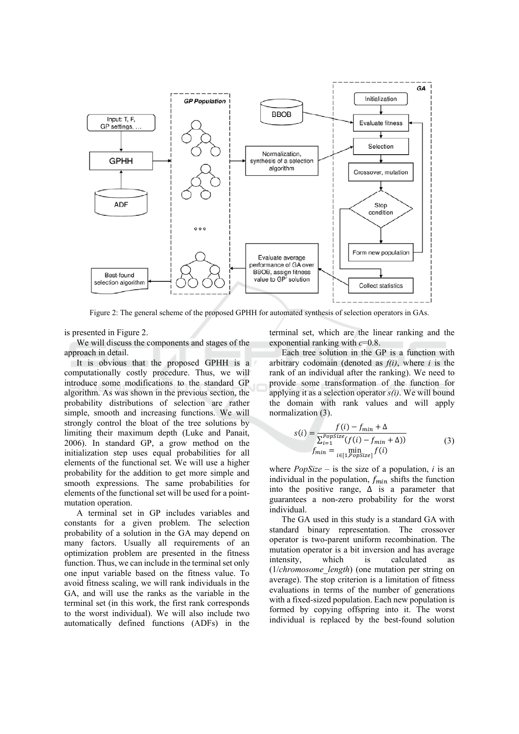

Figure 2: The general scheme of the proposed GPHH for automated synthesis of selection operators in GAs.

is presented in Figure 2.

We will discuss the components and stages of the approach in detail.

It is obvious that the proposed GPHH is a computationally costly procedure. Thus, we will introduce some modifications to the standard GP algorithm. As was shown in the previous section, the probability distributions of selection are rather simple, smooth and increasing functions. We will strongly control the bloat of the tree solutions by limiting their maximum depth (Luke and Panait, 2006). In standard GP, a grow method on the initialization step uses equal probabilities for all elements of the functional set. We will use a higher probability for the addition to get more simple and smooth expressions. The same probabilities for elements of the functional set will be used for a pointmutation operation.

A terminal set in GP includes variables and constants for a given problem. The selection probability of a solution in the GA may depend on many factors. Usually all requirements of an optimization problem are presented in the fitness function. Thus, we can include in the terminal set only one input variable based on the fitness value. To avoid fitness scaling, we will rank individuals in the GA, and will use the ranks as the variable in the terminal set (in this work, the first rank corresponds to the worst individual). We will also include two automatically defined functions (ADFs) in the terminal set, which are the linear ranking and the exponential ranking with  $c=0.8$ .

Each tree solution in the GP is a function with arbitrary codomain (denoted as  $f(i)$ , where i is the rank of an individual after the ranking). We need to provide some transformation of the function for applying it as a selection operator  $s(i)$ . We will bound the domain with rank values and will apply normalization (3).

$$
s(i) = \frac{f(i) - f_{min} + \Delta}{\sum_{i=1}^{PopSize} (f(i) - f_{min} + \Delta))}
$$
  
\n
$$
f_{min} = \min_{i \in [1, PopSize]} f(i)
$$
\n(3)

where  $PopSize -$  is the size of a population, i is an individual in the population,  $f_{min}$  shifts the function into the positive range,  $\Delta$  is a parameter that guarantees a non-zero probability for the worst individual.

The GA used in this study is a standard GA with standard binary representation. The crossover operator is two-parent uniform recombination. The mutation operator is a bit inversion and has average intensity. which calculated is  $(1/chromosome \ length)$  (one mutation per string on average). The stop criterion is a limitation of fitness evaluations in terms of the number of generations with a fixed-sized population. Each new population is formed by copying offspring into it. The worst individual is replaced by the best-found solution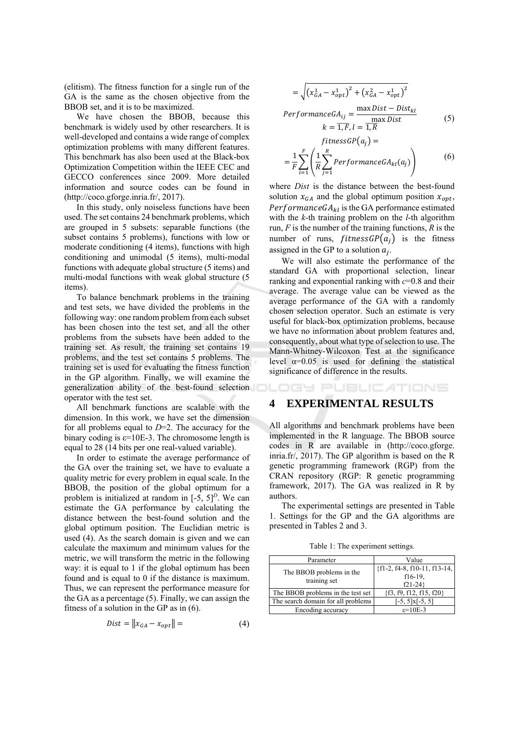(elitism). The fitness function for a single run of the GA is the same as the chosen objective from the BBOB set, and it is to be maximized.

We have chosen the BBOB, because this benchmark is widely used by other researchers. It is well-developed and contains a wide range of complex optimization problems with many different features. This benchmark has also been used at the Black-box Optimization Competition within the IEEE CEC and GECCO conferences since 2009. More detailed information and source codes can be found in  $(\text{http://coco.gforge.inria.fr/}, 2017))$ .

In this study, only noiseless functions have been used. The set contains 24 benchmark problems, which are grouped in 5 subsets: separable functions (the subset contains 5 problems), functions with low or moderate conditioning (4 items), functions with high conditioning and unimodal (5 items), multi-modal functions with adequate global structure (5 items) and multi-modal functions with weak global structure (5 items).

To balance benchmark problems in the training and test sets, we have divided the problems in the following way: one random problem from each subset has been chosen into the test set, and all the other problems from the subsets have been added to the training set. As result, the training set contains 19 problems, and the test set contains 5 problems. The training set is used for evaluating the fitness function in the GP algorithm. Finally, we will examine the generalization ability of the best-found selection operator with the test set.

All benchmark functions are scalable with the dimension. In this work, we have set the dimension for all problems equal to  $D=2$ . The accuracy for the binary coding is  $\varepsilon$ =10E-3. The chromosome length is equal to 28 (14 bits per one real-valued variable).

In order to estimate the average performance of the GA over the training set, we have to evaluate a quality metric for every problem in equal scale. In the BBOB, the position of the global optimum for a problem is initialized at random in  $[-5, 5]^D$ . We can estimate the GA performance by calculating the distance between the best-found solution and the global optimum position. The Euclidian metric is used (4). As the search domain is given and we can calculate the maximum and minimum values for the metric, we will transform the metric in the following way: it is equal to 1 if the global optimum has been found and is equal to 0 if the distance is maximum. Thus, we can represent the performance measure for the GA as a percentage  $(5)$ . Finally, we can assign the fitness of a solution in the GP as in  $(6)$ .

$$
Dist = \|x_{GA} - x_{opt}\| = \tag{4}
$$

$$
= \sqrt{(x_{GA}^1 - x_{opt}^1)^2 + (x_{GA}^2 - x_{opt}^1)^2}
$$
  
Performance $GA_{ij}$  =  $\frac{\max Dist - Dist_{kl}}{\max Dist}$  (5)

$$
k = \overline{1, F}, l = \overline{1, R}
$$
  
\n
$$
fitnessGP(a_j) =
$$
  
\n
$$
= \frac{1}{F} \sum_{i=1}^{F} \left( \frac{1}{R} \sum_{j=1}^{R} PerformanceGA_{kl}(a_j) \right)
$$
 (6)

where *Dist* is the distance between the best-found solution  $x_{GA}$  and the global optimum position  $x_{opt}$ , Performance  $GA_{kl}$  is the GA performance estimated with the  $k$ -th training problem on the  $l$ -th algorithm run,  $F$  is the number of the training functions,  $R$  is the number of runs, *fitnessGP(* $a_i$ *)* is the fitness assigned in the GP to a solution  $a_i$ .

We will also estimate the performance of the standard GA with proportional selection, linear ranking and exponential ranking with  $c=0.8$  and their average. The average value can be viewed as the average performance of the GA with a randomly chosen selection operator. Such an estimate is very useful for black-box optimization problems, because we have no information about problem features and, consequently, about what type of selection to use. The Mann-Whitney-Wilcoxon Test at the significance level  $\alpha$ =0.05 is used for defining the statistical significance of difference in the results.

## IGY PUBLICATIONS

### **EXPERIMENTAL RESULTS**

All algorithms and benchmark problems have been implemented in the R language. The BBOB source codes in R are available in (http://coco.gforge. inria.fr/, 2017). The GP algorithm is based on the R genetic programming framework (RGP) from the CRAN repository (RGP: R genetic programming framework, 2017). The GA was realized in R by authors.

The experimental settings are presented in Table 1. Settings for the GP and the GA algorithms are presented in Tables 2 and 3.

Table 1: The experiment settings.

| Parameter                                | Value                                                     |
|------------------------------------------|-----------------------------------------------------------|
| The BBOB problems in the<br>training set | ${f1-2, f4-8, f10-11, f13-14,}$<br>$f16-19$ ,<br>$f21-24$ |
| The BBOB problems in the test set        | $\{f3, f9, f12, f15, f20\}$                               |
| The search domain for all problems       | $[-5, 5] \times [-5, 5]$                                  |
| Encoding accuracy                        | $\varepsilon = 10E-3$                                     |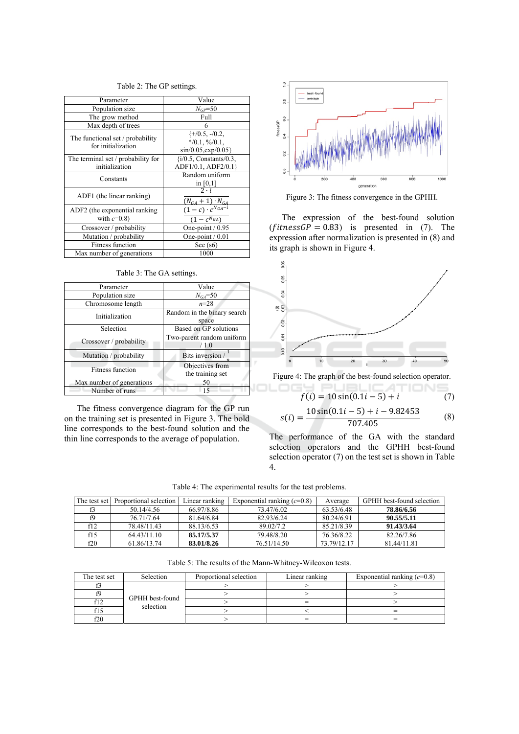|  |  |  |  |  | Table 2: The GP settings. |
|--|--|--|--|--|---------------------------|
|--|--|--|--|--|---------------------------|

| Parameter                                              | Value                                                                                  |
|--------------------------------------------------------|----------------------------------------------------------------------------------------|
| Population size                                        | $N_{GP} = 50$                                                                          |
| The grow method                                        | Full                                                                                   |
| Max depth of trees                                     | 6                                                                                      |
| The functional set / probability<br>for initialization | $\{+/0.5, -/0.2, \}$<br>$*$ /0.1, %/0.1,<br>$\sin/0.05$ , $\exp/0.05$ }                |
| The terminal set / probability for<br>initialization   | $\{i/0.5,$ Constants/0.3,<br>ADF1/0.1, ADF2/0.1}                                       |
| Constants                                              | Random uniform<br>in $[0,1]$                                                           |
| ADF1 (the linear ranking)                              | $2 \cdot i$                                                                            |
| ADF2 (the exponential ranking<br>with $c=0.8$ )        | $\frac{(N_{GA} + 1) \cdot N_{GA}}{(1 - c) \cdot c^{N_{GA} - i}}$<br>$(1 - c^{N_{GA}})$ |
| Crossover / probability                                | One-point $/ 0.95$                                                                     |
| Mutation / probability                                 | One-point $/ 0.01$                                                                     |
| <b>Fitness function</b>                                | See $(s6)$                                                                             |
| Max number of generations                              | 1000                                                                                   |

| Table 3: The GA settings. |  |
|---------------------------|--|
|---------------------------|--|

| Parameter                 | Value                          |  |  |
|---------------------------|--------------------------------|--|--|
| Population size           | $N_{GA} = 50$                  |  |  |
| Chromosome length         | $n = 28$                       |  |  |
| Initialization            | Random in the binary search    |  |  |
|                           | space                          |  |  |
| Selection                 | Based on GP solutions          |  |  |
| Crossover / probability   | Two-parent random uniform      |  |  |
|                           | /1.0                           |  |  |
| Mutation / probability    | Bits inversion $/ \frac{1}{2}$ |  |  |
| <b>Fitness function</b>   | Objectives from                |  |  |
|                           | the training set               |  |  |
| Max number of generations | 50                             |  |  |
| Number of runs            |                                |  |  |

The fitness convergence diagram for the GP run on the training set is presented in Figure 3. The bold line corresponds to the best-found solution and the thin line corresponds to the average of population.



Figure 3: The fitness convergence in the GPHH.

The expression of the best-found solution  $(fitnessGP = 0.83)$  is presented in (7). The expression after normalization is presented in (8) and its graph is shown in Figure 4.



Figure 4: The graph of the best-found selection operator.

$$
f(i) = 10\sin(0.1i - 5) + i \tag{7}
$$

**JBLIC ATIONS** 

$$
s(i) = \frac{10\sin(0.1i - 5) + i - 9.82453}{707.405}
$$
 (8)

The performance of the GA with the standard selection operators and the GPHH best-found selection operator  $(7)$  on the test set is shown in Table  $4.$ 

Table 4: The experimental results for the test problems.

ocy

|     | The test set   Proportional selection | Linear ranking | Exponential ranking $(c=0.8)$ | Average     | GPHH best-found selection |
|-----|---------------------------------------|----------------|-------------------------------|-------------|---------------------------|
|     | 50.14/4.56                            | 66.97/8.86     | 73.47/6.02                    | 63.53/6.48  | 78.86/6.56                |
| fQ  | 76.71/7.64                            | 81.64/6.84     | 82.93/6.24                    | 80.24/6.91  | 90.55/5.11                |
| f12 | 78.48/11.43                           | 88.13/6.53     | 89.02/7.2                     | 85.21/8.39  | 91.43/3.64                |
| f15 | 64.43/11.10                           | 85.17/5.37     | 79.48/8.20                    | 76.36/8.22  | 82.26/7.86                |
| f20 | 61.86/13.74                           | 83.01/8.26     | 76.51/14.50                   | 73.79/12.17 | 81.44/11.81               |

Table 5: The results of the Mann-Whitney-Wilcoxon tests.

| The test set | Selection                    | Proportional selection | Linear ranking | Exponential ranking $(c=0.8)$ |
|--------------|------------------------------|------------------------|----------------|-------------------------------|
|              |                              |                        |                |                               |
|              |                              |                        |                |                               |
| c۱ Ղ         | GPHH best-found<br>selection |                        |                |                               |
|              |                              |                        |                |                               |
| f20          |                              |                        |                |                               |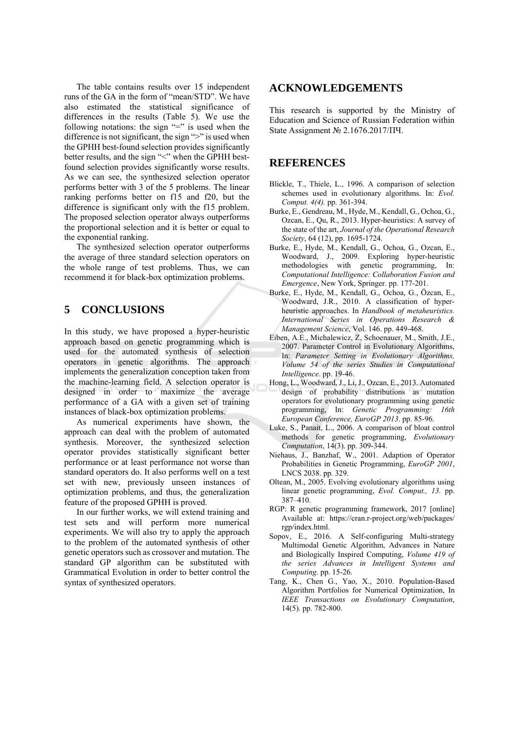The table contains results over 15 independent runs of the GA in the form of "mean/STD". We have also estimated the statistical significance of differences in the results (Table 5). We use the following notations: the sign "=" is used when the difference is not significant, the sign ">" is used when the GPHH best-found selection provides significantly better results, and the sign "<" when the GPHH bestfound selection provides significantly worse results. As we can see, the synthesized selection operator performs better with 3 of the 5 problems. The linear ranking performs better on f15 and f20, but the difference is significant only with the f15 problem. The proposed selection operator always outperforms the proportional selection and it is better or equal to the exponential ranking.

The synthesized selection operator outperforms the average of three standard selection operators on the whole range of test problems. Thus, we can recommend it for black-box optimization problems.

### 5 **CONCLUSIONS**

In this study, we have proposed a hyper-heuristic approach based on genetic programming which is used for the automated synthesis of selection operators in genetic algorithms. The approach implements the generalization conception taken from the machine-learning field. A selection operator is designed in order to maximize the average performance of a GA with a given set of training instances of black-box optimization problems.

As numerical experiments have shown, the approach can deal with the problem of automated synthesis. Moreover, the synthesized selection operator provides statistically significant better performance or at least performance not worse than standard operators do. It also performs well on a test set with new, previously unseen instances of optimization problems, and thus, the generalization feature of the proposed GPHH is proved.

In our further works, we will extend training and test sets and will perform more numerical experiments. We will also try to apply the approach to the problem of the automated synthesis of other genetic operators such as crossover and mutation. The standard GP algorithm can be substituted with Grammatical Evolution in order to better control the syntax of synthesized operators.

## **ACKNOWLEDGEMENTS**

This research is supported by the Ministry of Education and Science of Russian Federation within State Assignment № 2.1676.2017/IIY.

### **REFERENCES**

- Blickle, T., Thiele, L., 1996. A comparison of selection schemes used in evolutionary algorithms. In: Evol. Comput. 4(4). pp. 361-394.
- Burke, E., Gendreau, M., Hyde, M., Kendall, G., Ochoa, G., Ozcan, E., Qu, R., 2013. Hyper-heuristics: A survey of the state of the art, Journal of the Operational Research Society, 64 (12), pp. 1695-1724.
- Burke, E., Hyde, M., Kendall, G., Ochoa, G., Ozcan, E., Woodward, J., 2009. Exploring hyper-heuristic methodologies with genetic programming, In: Computational Intelligence: Collaboration Fusion and *Emergence*, New York, Springer, pp. 177-201.
- Burke, E., Hyde, M., Kendall, G., Ochoa, G., Özcan, E., Woodward, J.R., 2010. A classification of hyperheuristic approaches. In Handbook of metaheuristics. International Series in Operations Research & Management Science, Vol. 146. pp. 449-468.
- Eiben, A.E., Michalewicz, Z, Schoenauer, M., Smith, J.E., 2007. Parameter Control in Evolutionary Algorithms, In: Parameter Setting in Evolutionary Algorithms, Volume 54 of the series Studies in Computational Intelligence. pp. 19-46.
- Hong, L., Woodward, J., Li, J., Ozcan, E., 2013. Automated design of probability distributions as mutation operators for evolutionary programming using genetic programming, In: Genetic Programming:  $16th$ European Conference, EuroGP 2013, pp. 85-96.
- Luke, S., Panait, L., 2006. A comparison of bloat control methods for genetic programming, Evolutionary Computation, 14(3). pp. 309-344.
- Niehaus, J., Banzhaf, W., 2001. Adaption of Operator Probabilities in Genetic Programming, *EuroGP 2001*, LNCS 2038. pp. 329.
- Oltean, M., 2005. Evolving evolutionary algorithms using linear genetic programming, *Evol. Comput., 13.* pp.  $387 - 410$ .
- RGP: R genetic programming framework, 2017 [online] Available at: https://cran.r-project.org/web/packages/ rgp/index.html.
- Sopov. E., 2016. A Self-configuring Multi-strategy Multimodal Genetic Algorithm, Advances in Nature and Biologically Inspired Computing, Volume 419 of the series Advances in Intelligent Systems and Computing. pp. 15-26.
- Tang, K., Chen G., Yao, X., 2010. Population-Based Algorithm Portfolios for Numerical Optimization, In IEEE Transactions on Evolutionary Computation, 14(5). pp. 782-800.